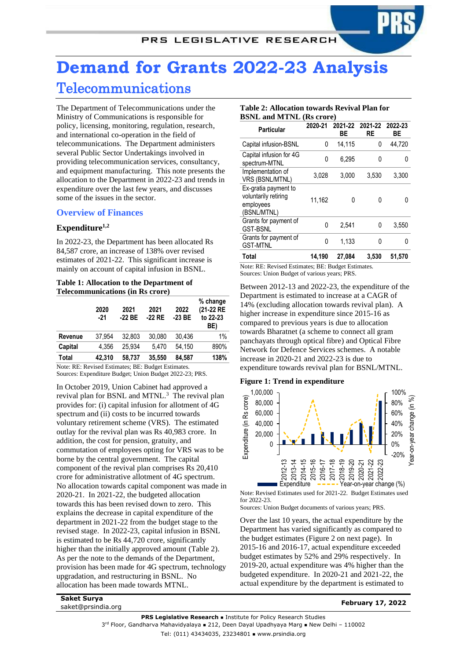# **Demand for Grants 2022-23 Analysis** Telecommunications

The Department of Telecommunications under the Ministry of Communications is responsible for policy, licensing, monitoring, regulation, research, and international co-operation in the field of telecommunications. The Department administers several Public Sector Undertakings involved in providing telecommunication services, consultancy, and equipment manufacturing. This note presents the allocation to the Department in 2022-23 and trends in expenditure over the last few years, and discusses some of the issues in the sector.

# **Overview of Finances**

# <span id="page-0-1"></span>**Expenditure1,2**

In 2022-23, the Department has been allocated Rs 84,587 crore, an increase of 138% over revised estimates of 2021-22. This significant increase is mainly on account of capital infusion in BSNL.

## **Table 1: Allocation to the Department of Telecommunications (in Rs crore)**

|         | 2020<br>$-21$ | 2021<br>$-22BE$ | 2021<br>-22 RE | 2022<br>$-23$ BE | % change<br>(21-22 RE<br>to 22-23<br>BE) |
|---------|---------------|-----------------|----------------|------------------|------------------------------------------|
| Revenue | 37.954        | 32.803          | 30.080         | 30.436           | 1%                                       |
| Capital | 4.356         | 25.934          | 5.470          | 54.150           | 890%                                     |
| Total   | 42,310        | 58,737          | 35,550         | 84,587           | 138%                                     |

Note: RE: Revised Estimates; BE: Budget Estimates. Sources: Expenditure Budget; Union Budget 2022-23; PRS.

In October 2019, Union Cabinet had approved a revival plan for BSNL and MTNL.<sup>3</sup> The revival plan provides for: (i) capital infusion for allotment of 4G spectrum and (ii) costs to be incurred towards voluntary retirement scheme (VRS). The estimated outlay for the revival plan was Rs 40,983 crore. In addition, the cost for pension, gratuity, and commutation of employees opting for VRS was to be borne by the central government. The capital component of the revival plan comprises Rs 20,410 crore for administrative allotment of 4G spectrum. No allocation towards capital component was made in 2020-21. In 2021-22, the budgeted allocation towards this has been revised down to zero. This explains the decrease in capital expenditure of the department in 2021-22 from the budget stage to the revised stage. In 2022-23, capital infusion in BSNL is estimated to be Rs 44,720 crore, significantly higher than the initially approved amount [\(Table 2\)](#page-0-0). As per the note to the demands of the Department, provision has been made for 4G spectrum, technology upgradation, and restructuring in BSNL. No allocation has been made towards MTNL.

# <span id="page-0-0"></span>**Table 2: Allocation towards Revival Plan for BSNL and MTNL (Rs crore)**

| Particular                                                               | 2020-21 | ВE     | 2021-22 2021-22 2022-23<br>RE | ВE     |
|--------------------------------------------------------------------------|---------|--------|-------------------------------|--------|
| Capital infusion-BSNL                                                    | 0       | 14,115 | 0                             | 44,720 |
| Capital infusion for 4G<br>spectrum-MTNL                                 | 0       | 6.295  | 0                             |        |
| Implementation of<br>VRS (BSNL/MTNL)                                     | 3,028   | 3,000  | 3,530                         | 3,300  |
| Ex-gratia payment to<br>voluntarily retiring<br>employees<br>(BSNL/MTNL) | 11,162  | 0      | 0                             |        |
| Grants for payment of<br><b>GST-BSNL</b>                                 | 0       | 2.541  | 0                             | 3,550  |
| Grants for payment of<br><b>GST-MTNL</b>                                 | 0       | 1.133  | 0                             | 0      |
| Total                                                                    | 14.190  | 27,084 | 3.530                         | 51,570 |

Note: RE: Revised Estimates; BE: Budget Estimates. Sources: Union Budget of various years; PRS.

Between 2012-13 and 2022-23, the expenditure of the Department is estimated to increase at a CAGR of 14% (excluding allocation towards revival plan). A higher increase in expenditure since 2015-16 as compared to previous years is due to allocation towards Bharatnet (a scheme to connect all gram panchayats through optical fibre) and Optical Fibre Network for Defence Services schemes. A notable increase in 2020-21 and 2022-23 is due to expenditure towards revival plan for BSNL/MTNL.

# **Figure 1: Trend in expenditure**



Note: Revised Estimates used for 2021-22. Budget Estimates used for 2022-23.

Sources: Union Budget documents of various years; PRS.

Over the last 10 years, the actual expenditure by the Department has varied significantly as compared to the budget estimates (Figure 2 on next page). In 2015-16 and 2016-17, actual expenditure exceeded budget estimates by 52% and 29% respectively. In 2019-20, actual expenditure was 4% higher than the budgeted expenditure. In 2020-21 and 2021-22, the actual expenditure by the department is estimated to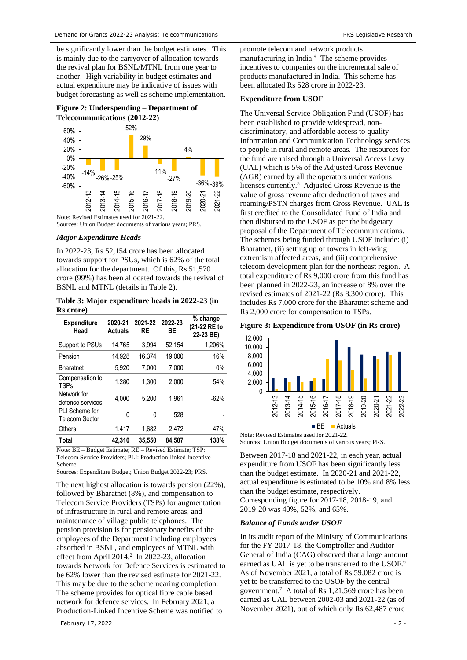be significantly lower than the budget estimates. This is mainly due to the carryover of allocation towards the revival plan for BSNL/MTNL from one year to another. High variability in budget estimates and actual expenditure may be indicative of issues with budget forecasting as well as scheme implementation.





Sources: Union Budget documents of various years; PRS.

#### *Major Expenditure Heads*

In 2022-23, Rs 52,154 crore has been allocated towards support for PSUs, which is 62% of the total allocation for the department. Of this, Rs 51,570 crore (99%) has been allocated towards the revival of BSNL and MTNL (details in Table 2).

**Table 3: Major expenditure heads in 2022-23 (in Rs crore)**

| <b>Expenditure</b><br>Head              | 2020-21<br><b>Actuals</b> | 2021-22<br><b>RE</b> | 2022-23<br>ВE | % change<br>(21-22 RE to<br>22-23 BE) |
|-----------------------------------------|---------------------------|----------------------|---------------|---------------------------------------|
| Support to PSUs                         | 14,765                    | 3,994                | 52.154        | 1,206%                                |
| Pension                                 | 14,928                    | 16.374               | 19,000        | 16%                                   |
| <b>Bharatnet</b>                        | 5.920                     | 7.000                | 7.000         | $0\%$                                 |
| Compensation to<br><b>TSPs</b>          | 1.280                     | 1.300                | 2.000         | 54%                                   |
| Network for<br>defence services         | 4,000                     | 5.200                | 1.961         | $-62%$                                |
| PLI Scheme for<br><b>Telecom Sector</b> | 0                         | 0                    | 528           |                                       |
| Others                                  | 1.417                     | 1.682                | 2.472         | 47%                                   |
| Total                                   | 42.310                    | 35.550               | 84.587        | 138%                                  |

Note: BE – Budget Estimate; RE – Revised Estimate; TSP: Telecom Service Providers; PLI: Production-linked Incentive Scheme.

Sources: Expenditure Budget; Union Budget 2022-23; PRS.

The next highest allocation is towards pension (22%), followed by Bharatnet (8%), and compensation to Telecom Service Providers (TSPs) for augmentation of infrastructure in rural and remote areas, and maintenance of village public telephones. The pension provision is for pensionary benefits of the employees of the Department including employees absorbed in BSNL, and employees of MTNL with effectfrom April 2014.<sup>2</sup> In 2022-23, allocation towards Network for Defence Services is estimated to be 62% lower than the revised estimate for 2021-22. This may be due to the scheme nearing completion. The scheme provides for optical fibre cable based network for defence services. In February 2021, a Production-Linked Incentive Scheme was notified to

<span id="page-1-1"></span>promote telecom and network products manufacturing in India.<sup>4</sup> The scheme provides incentives to companies on the incremental sale of products manufactured in India. This scheme has been allocated Rs 528 crore in 2022-23.

## **Expenditure from USOF**

The Universal Service Obligation Fund (USOF) has been established to provide widespread, nondiscriminatory, and affordable access to quality Information and Communication Technology services to people in rural and remote areas. The resources for the fund are raised through a Universal Access Levy (UAL) which is 5% of the Adjusted Gross Revenue (AGR) earned by all the operators under various licenses currently.<sup>5</sup> Adjusted Gross Revenue is the value of gross revenue after deduction of taxes and roaming/PSTN charges from Gross Revenue. UAL is first credited to the Consolidated Fund of India and then disbursed to the USOF as per the budgetary proposal of the Department of Telecommunications. The schemes being funded through USOF include: (i) Bharatnet, (ii) setting up of towers in left-wing extremism affected areas, and (iii) comprehensive telecom development plan for the northeast region. A total expenditure of Rs 9,000 crore from this fund has been planned in 2022-23, an increase of 8% over the revised estimates of 2021-22 (Rs 8,300 crore). This includes Rs 7,000 crore for the Bharatnet scheme and Rs 2,000 crore for compensation to TSPs.

**Figure 3: Expenditure from USOF (in Rs crore)**



**BE Actuals** 

Note: Revised Estimates used for 2021-22. Sources: Union Budget documents of various years; PRS.

Between 2017-18 and 2021-22, in each year, actual expenditure from USOF has been significantly less than the budget estimate. In 2020-21 and 2021-22, actual expenditure is estimated to be 10% and 8% less than the budget estimate, respectively. Corresponding figure for 2017-18, 2018-19, and 2019-20 was 40%, 52%, and 65%.

#### *Balance of Funds under USOF*

<span id="page-1-0"></span>In its audit report of the Ministry of Communications for the FY 2017-18, the Comptroller and Auditor General of India (CAG) observed that a large amount earned as UAL is yet to be transferred to the USOF.<sup>6</sup> As of November 2021, a total of Rs 59,082 crore is yet to be transferred to the USOF by the central government. 7 A total of Rs 1,21,569 crore has been earned as UAL between 2002-03 and 2021-22 (as of November 2021), out of which only Rs 62,487 crore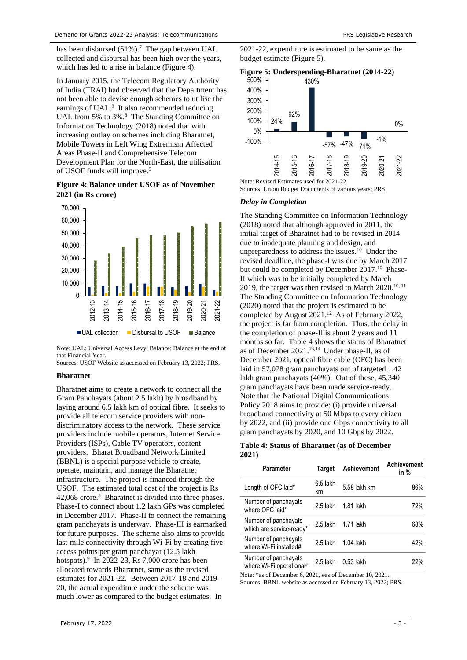has been disbursed  $(51\%)$ .<sup>7</sup> The gap between UAL collected and disbursal has been high over the years, which has led to a rise in balance [\(Figure 4\)](#page-2-0).

<span id="page-2-1"></span>In January 2015, the Telecom Regulatory Authority of India (TRAI) had observed that the Department has not been able to devise enough schemes to utilise the earnings of UAL.<sup>8</sup> It also recommended reducing UAL from 5% to 3%.<sup>[8](#page-2-1)</sup> The Standing Committee on Information Technology (2018) noted that with increasing outlay on schemes including Bharatnet, Mobile Towers in Left Wing Extremism Affected Areas Phase-II and Comprehensive Telecom Development Plan for the North-East, the utilisation of USOF funds will improve. 5

# <span id="page-2-0"></span>**Figure 4: Balance under USOF as of November 2021 (in Rs crore)**



Note: UAL: Universal Access Levy; Balance: Balance at the end of that Financial Year.

Sources: USOF Website as accessed on February 13, 2022; PRS.

#### **Bharatnet**

Bharatnet aims to create a network to connect all the Gram Panchayats (about 2.5 lakh) by broadband by laying around 6.5 lakh km of optical fibre. It seeks to provide all telecom service providers with nondiscriminatory access to the network. These service providers include mobile operators, Internet Service Providers (ISPs), Cable TV operators, content providers. Bharat Broadband Network Limited (BBNL) is a special purpose vehicle to create, operate, maintain, and manage the Bharatnet infrastructure. The project is financed through the USOF. The estimated total cost of the project is Rs 42,068 crore. 5 Bharatnet is divided into three phases. Phase-I to connect about 1.2 lakh GPs was completed in December 2017. Phase-II to connect the remaining gram panchayats is underway. Phase-III is earmarked for future purposes. The scheme also aims to provide last-mile connectivity through Wi-Fi by creating five access points per gram panchayat (12.5 lakh hotspots). $9 \text{ In } 2022-23$ , Rs 7,000 crore has been allocated towards Bharatnet, same as the revised estimates for 2021-22. Between 2017-18 and 2019- 20, the actual expenditure under the scheme was much lower as compared to the budget estimates. In

2021-22, expenditure is estimated to be same as the budget estimate [\(Figure 5\)](#page-2-2).

<span id="page-2-2"></span>



Sources: Union Budget Documents of various years; PRS.

## *Delay in Completion*

The Standing Committee on Information Technology (2018) noted that although approved in 2011, the initial target of Bharatnet had to be revised in 2014 due to inadequate planning and design, and unpreparedness to address the issues.<sup>10</sup> Under the revised deadline, the phase-I was due by March 2017 but could be completed by December 2017.<sup>10</sup> Phase-II which was to be initially completed by March 2019, the target was then revised to March 2020.<sup>10, 11</sup> The Standing Committee on Information Technology (2020) noted that the project is estimated to be completed by August 2021.<sup>12</sup> As of February 2022, the project is far from completion. Thus, the delay in the completion of phase-II is about 2 years and 11 months so far. Table 4 shows the status of Bharatnet as of December 2021. 13,14 Under phase-II, as of December 2021, optical fibre cable (OFC) has been laid in 57,078 gram panchayats out of targeted 1.42 lakh gram panchayats (40%). Out of these, 45,340 gram panchayats have been made service-ready. Note that the National Digital Communications Policy 2018 aims to provide: (i) provide universal broadband connectivity at 50 Mbps to every citizen by 2022, and (ii) provide one Gbps connectivity to all gram panchayats by 2020, and 10 Gbps by 2022.

**Table 4: Status of Bharatnet (as of December 2021)**

| Parameter                                        | Target         | <b>Achievement</b> | <b>Achievement</b><br>in % |
|--------------------------------------------------|----------------|--------------------|----------------------------|
| Length of OFC laid*                              | 6.5 lakh<br>km | 5.58 lakh km       | 86%                        |
| Number of panchayats<br>where OFC laid*          | 2.5 lakh       | 1.81 lakh          | 72%                        |
| Number of panchayats<br>which are service-ready* | 2.5 lakh       | 1.71 lakh          | 68%                        |
| Number of panchayats<br>where Wi-Fi installed#   | $2.5$ lakh     | $1.04$ lakh        | 42%                        |
| Number of panchayats<br>where Wi-Fi operational# | 2.5 lakh       | $0.53$ lakh        | 22%                        |

Note: \*as of December 6, 2021, #as of December 10, 2021. Sources: BBNL website as accessed on February 13, 2022; PRS.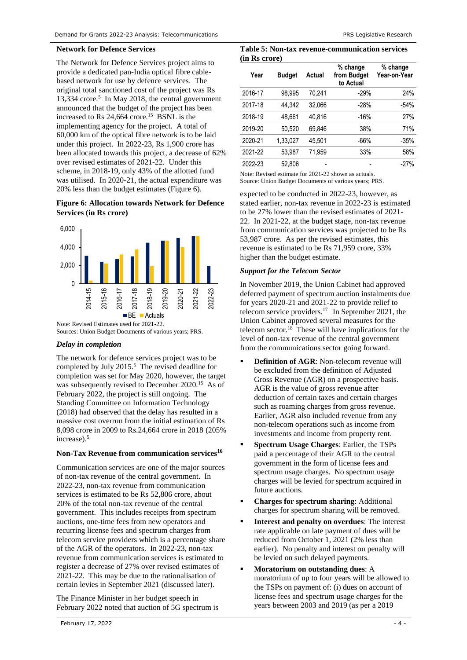#### **Network for Defence Services**

The Network for Defence Services project aims to provide a dedicated pan-India optical fibre cablebased network for use by defence services. The original total sanctioned cost of the project was Rs 13,334 crore.<sup>5</sup> In May 2018, the central government announced that the budget of the project has been increased to Rs  $24.664$  crore.<sup>15</sup> BSNL is the implementing agency for the project. A total of 60,000 km of the optical fibre network is to be laid under this project. In 2022-23, Rs 1,900 crore has been allocated towards this project, a decrease of 62% over revised estimates of 2021-22. Under this scheme, in 2018-19, only 43% of the allotted fund was utilised. In 2020-21, the actual expenditure was 20% less than the budget estimates [\(Figure 6\)](#page-3-0).

# <span id="page-3-0"></span>**Figure 6: Allocation towards Network for Defence Services (in Rs crore)**



Sources: Union Budget Documents of various years; PRS.

# *Delay in completion*

The network for defence services project was to be completed by July 2015. 5 The revised deadline for completion was set for May 2020, however, the target was subsequently revised to December 2020.<sup>15</sup> As of February 2022, the project is still ongoing. The Standing Committee on Information Technology (2018) had observed that the delay has resulted in a massive cost overrun from the initial estimation of Rs 8,098 crore in 2009 to Rs.24,664 crore in 2018 (205% increase). 5

# **Non-Tax Revenue from communication services<sup>16</sup>**

Communication services are one of the major sources of non-tax revenue of the central government. In 2022-23, non-tax revenue from communication services is estimated to be Rs 52,806 crore, about 20% of the total non-tax revenue of the central government. This includes receipts from spectrum auctions, one-time fees from new operators and recurring license fees and spectrum charges from telecom service providers which is a percentage share of the AGR of the operators. In 2022-23, non-tax revenue from communication services is estimated to register a decrease of 27% over revised estimates of 2021-22. This may be due to the rationalisation of certain levies in September 2021 (discussed later).

The Finance Minister in her budget speech in February 2022 noted that auction of 5G spectrum is

#### **Table 5: Non-tax revenue-communication services (in Rs crore)**

| Year    | <b>Budget</b> | Actual | % change<br>from Budget<br>to Actual | % change<br>Year-on-Year |
|---------|---------------|--------|--------------------------------------|--------------------------|
| 2016-17 | 98.995        | 70.241 | $-29%$                               | 24%                      |
| 2017-18 | 44.342        | 32.066 | $-28%$                               | $-54%$                   |
| 2018-19 | 48.661        | 40.816 | $-16%$                               | 27%                      |
| 2019-20 | 50,520        | 69.846 | 38%                                  | 71%                      |
| 2020-21 | 1.33.027      | 45.501 | $-66%$                               | $-35%$                   |
| 2021-22 | 53.987        | 71.959 | 33%                                  | 58%                      |
| 2022-23 | 52,806        |        |                                      | $-27%$                   |
|         |               |        |                                      |                          |

Note: Revised estimate for 2021-22 shown as actuals. Source: Union Budget Documents of various years; PRS.

expected to be conducted in 2022-23, however, as stated earlier, non-tax revenue in 2022-23 is estimated to be 27% lower than the revised estimates of 2021- 22. In 2021-22, at the budget stage, non-tax revenue from communication services was projected to be Rs 53,987 crore. As per the revised estimates, this revenue is estimated to be Rs 71,959 crore, 33% higher than the budget estimate.

# *Support for the Telecom Sector*

In November 2019, the Union Cabinet had approved deferred payment of spectrum auction instalments due for years 2020-21 and 2021-22 to provide relief to telecom service providers.<sup>17</sup> In September 2021, the Union Cabinet approved several measures for the telecom sector.<sup>18</sup> These will have implications for the level of non-tax revenue of the central government from the communications sector going forward.

- **Definition of AGR:** Non-telecom revenue will be excluded from the definition of Adjusted Gross Revenue (AGR) on a prospective basis. AGR is the value of gross revenue after deduction of certain taxes and certain charges such as roaming charges from gross revenue. Earlier, AGR also included revenue from any non-telecom operations such as income from investments and income from property rent.
- **Spectrum Usage Charges**: Earlier, the TSPs paid a percentage of their AGR to the central government in the form of license fees and spectrum usage charges. No spectrum usage charges will be levied for spectrum acquired in future auctions.
- **Charges for spectrum sharing**: Additional charges for spectrum sharing will be removed.
- **Interest and penalty on overdues**: The interest rate applicable on late payment of dues will be reduced from October 1, 2021 (2% less than earlier). No penalty and interest on penalty will be levied on such delayed payments.
- **Moratorium on outstanding dues**: A moratorium of up to four years will be allowed to the TSPs on payment of: (i) dues on account of license fees and spectrum usage charges for the years between 2003 and 2019 (as per a 2019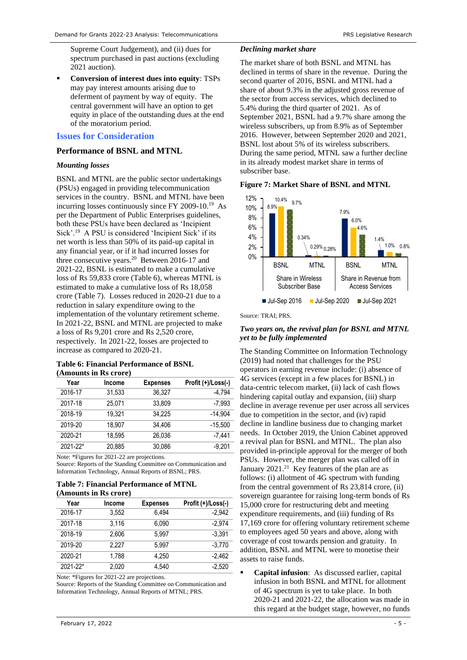Supreme Court Judgement), and (ii) dues for spectrum purchased in past auctions (excluding 2021 auction).

▪ **Conversion of interest dues into equity**: TSPs may pay interest amounts arising due to deferment of payment by way of equity. The central government will have an option to get equity in place of the outstanding dues at the end of the moratorium period.

# **Issues for Consideration**

## **Performance of BSNL and MTNL**

#### *Mounting losses*

<span id="page-4-0"></span>BSNL and MTNL are the public sector undertakings (PSUs) engaged in providing telecommunication services in the country. BSNL and MTNL have been incurring losses continuously since FY 2009-10.[19](#page-4-0) As per the Department of Public Enterprises guidelines, both these PSUs have been declared as 'Incipient Sick'.<sup>19</sup> A PSU is considered 'Incipient Sick' if its net worth is less than 50% of its paid-up capital in any financial year, or if it had incurred losses for three consecutive years.<sup>20</sup> Between 2016-17 and 2021-22, BSNL is estimated to make a cumulative loss of Rs 59,833 crore (Table 6), whereas MTNL is estimated to make a cumulative loss of Rs 18,058 crore (Table 7). Losses reduced in 2020-21 due to a reduction in salary expenditure owing to the implementation of the voluntary retirement scheme. In 2021-22, BSNL and MTNL are projected to make a loss of Rs 9,201 crore and Rs 2,520 crore, respectively. In 2021-22, losses are projected to increase as compared to 2020-21.

#### **Table 6: Financial Performance of BSNL (Amounts in Rs crore)**

| Year         | Income | <b>Expenses</b> | Profit (+)/Loss(-) |
|--------------|--------|-----------------|--------------------|
| 2016-17      | 31,533 | 36.327          | $-4.794$           |
| 2017-18      | 25.071 | 33.809          | $-7.993$           |
| 2018-19      | 19.321 | 34.225          | $-14.904$          |
| 2019-20      | 18.907 | 34.406          | $-15.500$          |
| 2020-21      | 18.595 | 26,036          | -7.441             |
| $2021 - 22*$ | 20.885 | 30,086          | $-9.201$           |

Note: \*Figures for 2021-22 are projections.

Source: Reports of the Standing Committee on Communication and Information Technology, Annual Reports of BSNL; PRS.

#### **Table 7: Financial Performance of MTNL (Amounts in Rs crore)**

|          | (A)    |                 |                    |
|----------|--------|-----------------|--------------------|
| Year     | Income | <b>Expenses</b> | Profit (+)/Loss(-) |
| 2016-17  | 3.552  | 6.494           | $-2.942$           |
| 2017-18  | 3.116  | 6.090           | $-2.974$           |
| 2018-19  | 2.606  | 5.997           | $-3.391$           |
| 2019-20  | 2.227  | 5.997           | $-3.770$           |
| 2020-21  | 1.788  | 4.250           | $-2.462$           |
| 2021-22* | 2.020  | 4.540           | $-2.520$           |

Note: \*Figures for 2021-22 are projections.

Source: Reports of the Standing Committee on Communication and Information Technology, Annual Reports of MTNL; PRS.

## *Declining market share*

The market share of both BSNL and MTNL has declined in terms of share in the revenue. During the second quarter of 2016, BSNL and MTNL had a share of about 9.3% in the adjusted gross revenue of the sector from access services, which declined to 5.4% during the third quarter of 2021. As of September 2021, BSNL had a 9.7% share among the wireless subscribers, up from 8.9% as of September 2016. However, between September 2020 and 2021, BSNL lost about 5% of its wireless subscribers. During the same period, MTNL saw a further decline in its already modest market share in terms of subscriber base.

## **Figure 7: Market Share of BSNL and MTNL**



Source: TRAI; PRS.

## *Two years on, the revival plan for BSNL and MTNL yet to be fully implemented*

The Standing Committee on Information Technology (2019) had noted that challenges for the PSU operators in earning revenue include: (i) absence of 4G services (except in a few places for BSNL) in data-centric telecom market, (ii) lack of cash flows hindering capital outlay and expansion, (iii) sharp decline in average revenue per user across all services due to competition in the sector, and (iv) rapid decline in landline business due to changing market needs. In October 2019, the Union Cabinet approved a revival plan for BSNL and MTNL. The plan also provided in-principle approval for the merger of both PSUs. However, the merger plan was called off in January 2021.<sup>21</sup> Key features of the plan are as follows: (i) allotment of 4G spectrum with funding from the central government of Rs 23,814 crore, (ii) sovereign guarantee for raising long-term bonds of Rs 15,000 crore for restructuring debt and meeting expenditure requirements, and (iii) funding of Rs 17,169 crore for offering voluntary retirement scheme to employees aged 50 years and above, along with coverage of cost towards pension and gratuity. In addition, BSNL and MTNL were to monetise their assets to raise funds.

Capital infusion: As discussed earlier, capital infusion in both BSNL and MTNL for allotment of 4G spectrum is yet to take place. In both 2020-21 and 2021-22, the allocation was made in this regard at the budget stage, however, no funds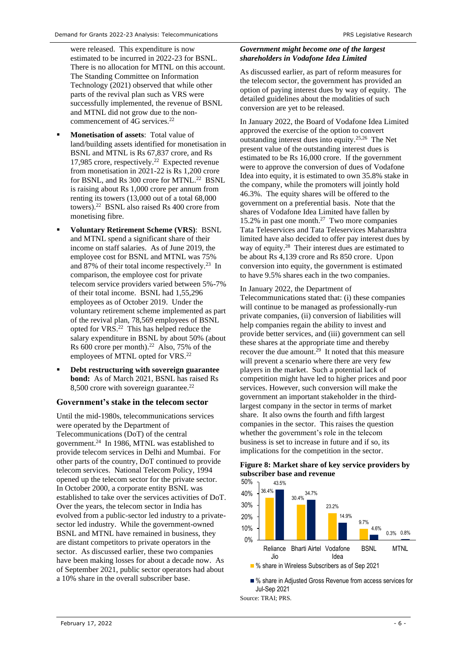were released. This expenditure is now estimated to be incurred in 2022-23 for BSNL. There is no allocation for MTNL on this account. The Standing Committee on Information Technology (2021) observed that while other parts of the revival plan such as VRS were successfully implemented, the revenue of BSNL and MTNL did not grow due to the noncommencement of  $4G$  services.<sup>22</sup>

- **Monetisation of assets:** Total value of land/building assets identified for monetisation in BSNL and MTNL is Rs 67,837 crore, and Rs 17,985 crore, respectively. [22](#page-5-0) Expected revenue from monetisation in 2021-22 is Rs 1,200 crore for BSNL, and Rs 300 crore for MTNL.<sup>[22](#page-5-0)</sup> BSNL is raising about Rs 1,000 crore per annum from renting its towers (13,000 out of a total 68,000 towers). [22](#page-5-0) BSNL also raised Rs 400 crore from monetising fibre.
- **Voluntary Retirement Scheme (VRS)**: BSNL and MTNL spend a significant share of their income on staff salaries. As of June 2019, the employee cost for BSNL and MTNL was 75% and 87% of their total income respectively.<sup>23</sup> In comparison, the employee cost for private telecom service providers varied between 5%-7% of their total income. BSNL had 1,55,296 employees as of October 2019. Under the voluntary retirement scheme implemented as part of the revival plan, 78,569 employees of BSNL opted for VRS. [22](#page-5-0) This has helped reduce the salary expenditure in BSNL by about 50% (about Rs 600 crore per month). [22](#page-5-0) Also, 75% of the employees of MTNL opted for VRS.<sup>[22](#page-5-0)</sup>
- **Debt restructuring with sovereign guarantee bond:** As of March 2021, BSNL has raised Rs 8,500 crore with sovereign guarantee.<sup>[22](#page-5-0)</sup>

# **Government's stake in the telecom sector**

Until the mid-1980s, telecommunications services were operated by the Department of Telecommunications (DoT) of the central government. 24 In 1986, MTNL was established to provide telecom services in Delhi and Mumbai. For other parts of the country, DoT continued to provide telecom services. National Telecom Policy, 1994 opened up the telecom sector for the private sector. In October 2000, a corporate entity BSNL was established to take over the services activities of DoT. Over the years, the telecom sector in India has evolved from a public-sector led industry to a privatesector led industry. While the government-owned BSNL and MTNL have remained in business, they are distant competitors to private operators in the sector. As discussed earlier, these two companies have been making losses for about a decade now. As of September 2021, public sector operators had about a 10% share in the overall subscriber base.

# *Government might become one of the largest shareholders in Vodafone Idea Limited*

As discussed earlier, as part of reform measures for the telecom sector, the government has provided an option of paying interest dues by way of equity. The detailed guidelines about the modalities of such conversion are yet to be released.

<span id="page-5-0"></span>In January 2022, the Board of Vodafone Idea Limited approved the exercise of the option to convert outstanding interest dues into equity.25,26 The Net present value of the outstanding interest dues is estimated to be Rs 16,000 crore. If the government were to approve the conversion of dues of Vodafone Idea into equity, it is estimated to own 35.8% stake in the company, while the promoters will jointly hold 46.3%. The equity shares will be offered to the government on a preferential basis. Note that the shares of Vodafone Idea Limited have fallen by 15.2% in past one month. 27 Two more companies Tata Teleservices and Tata Teleservices Maharashtra limited have also decided to offer pay interest dues by way of equity. 28 Their interest dues are estimated to be about Rs 4,139 crore and Rs 850 crore. Upon conversion into equity, the government is estimated to have 9.5% shares each in the two companies.

#### In January 2022, the Department of

Telecommunications stated that: (i) these companies will continue to be managed as professionally-run private companies, (ii) conversion of liabilities will help companies regain the ability to invest and provide better services, and (iii) government can sell these shares at the appropriate time and thereby recover the due amount.<sup>29</sup> It noted that this measure will prevent a scenario where there are very few players in the market. Such a potential lack of competition might have led to higher prices and poor services. However, such conversion will make the government an important stakeholder in the thirdlargest company in the sector in terms of market share. It also owns the fourth and fifth largest companies in the sector. This raises the question whether the government's role in the telecom business is set to increase in future and if so, its implications for the competition in the sector.

# **Figure 8: Market share of key service providers by subscriber base and revenue**



■ % share in Adjusted Gross Revenue from access services for Jul-Sep 2021

Source: TRAI; PRS.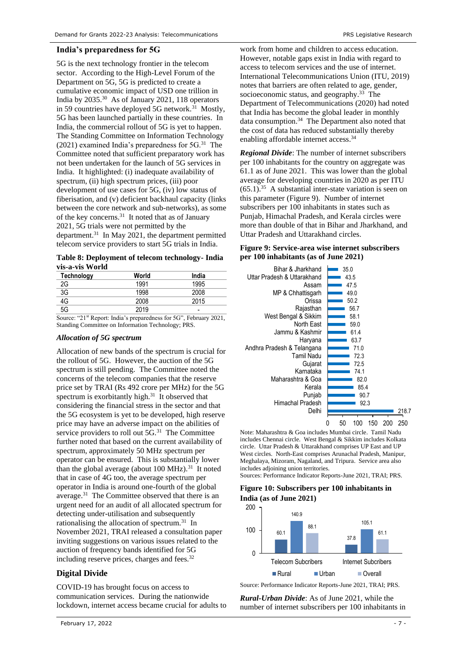# **India's preparedness for 5G**

5G is the next technology frontier in the telecom sector. According to the High-Level Forum of the Department on 5G, 5G is predicted to create a cumulative economic impact of USD one trillion in India by 2035.<sup>30</sup> As of January 2021, 118 operators in 59 countries have deployed 5G network.<sup>[31](#page-6-0)</sup> Mostly, 5G has been launched partially in these countries. In India, the commercial rollout of 5G is yet to happen. The Standing Committee on Information Technology (2021) examined India's preparedness for 5G.<sup>31</sup> The Committee noted that sufficient preparatory work has not been undertaken for the launch of 5G services in India. It highlighted: (i) inadequate availability of spectrum, (ii) high spectrum prices, (iii) poor development of use cases for 5G, (iv) low status of fiberisation, and (v) deficient backhaul capacity (links between the core network and sub-networks), as some of the key concerns.<sup>[31](#page-6-0)</sup> It noted that as of January 2021, 5G trials were not permitted by the department.<sup>[31](#page-6-0)</sup> In May 2021, the department permitted telecom service providers to start 5G trials in India.

**Table 8: Deployment of telecom technology- India vis-a-vis World**

| Technology      | World | India |
|-----------------|-------|-------|
| 2G              | 1991  | 1995  |
| $3\overline{G}$ | 1998  | 2008  |
| 4G              | 2008  | 2015  |
| 5G              | 2019  | -     |

Source: "21<sup>st</sup> Report: India's preparedness for 5G", February 2021, Standing Committee on Information Technology; PRS.

#### *Allocation of 5G spectrum*

Allocation of new bands of the spectrum is crucial for the rollout of 5G. However, the auction of the 5G spectrum is still pending. The Committee noted the concerns of the telecom companies that the reserve price set by TRAI (Rs 492 crore per MHz) for the 5G spectrum is exorbitantly high. $31$  It observed that considering the financial stress in the sector and that the 5G ecosystem is yet to be developed, high reserve price may have an adverse impact on the abilities of service providers to roll out 5G.<sup>[31](#page-6-0)</sup> The Committee further noted that based on the current availability of spectrum, approximately 50 MHz spectrum per operator can be ensured. This is substantially lower than the global average (about  $100 \text{ MHz}$ ).<sup>[31](#page-6-0)</sup> It noted that in case of 4G too, the average spectrum per operator in India is around one-fourth of the global average.<sup>[31](#page-6-0)</sup> The Committee observed that there is an urgent need for an audit of all allocated spectrum for detecting under-utilisation and subsequently rationalising the allocation of spectrum.<sup>[31](#page-6-0)</sup> In November 2021, TRAI released a consultation paper inviting suggestions on various issues related to the auction of frequency bands identified for 5G including reserve prices, charges and fees.<sup>32</sup>

# **Digital Divide**

COVID-19 has brought focus on access to communication services. During the nationwide lockdown, internet access became crucial for adults to

work from home and children to access education. However, notable gaps exist in India with regard to access to telecom services and the use of internet. International Telecommunications Union (ITU, 2019) notes that barriers are often related to age, gender, socioeconomic status, and geography.<sup>33</sup> The Department of Telecommunications (2020) had noted that India has become the global leader in monthly data consumption.<sup>34</sup> The Department also noted that the cost of data has reduced substantially thereby enabling affordable internet access. [34](#page-6-1)

<span id="page-6-1"></span><span id="page-6-0"></span>*Regional Divide*: The number of internet subscribers per 100 inhabitants for the country on aggregate was 61.1 as of June 2021. This was lower than the global average for developing countries in 2020 as per ITU (65.1). 35 A substantial inter-state variation is seen on this parameter (Figure 9). Number of internet subscribers per 100 inhabitants in states such as Punjab, Himachal Pradesh, and Kerala circles were more than double of that in Bihar and Jharkhand, and Uttar Pradesh and Uttarakhand circles.

| Figure 9: Service-area wise internet subscribers |
|--------------------------------------------------|
| per 100 inhabitants (as of June 2021)            |



Note: Maharashtra & Goa includes Mumbai circle. Tamil Nadu includes Chennai circle. West Bengal & Sikkim includes Kolkata circle. Uttar Pradesh & Uttarakhand comprises UP East and UP West circles. North-East comprises Arunachal Pradesh, Manipur, Meghalaya, Mizoram, Nagaland, and Tripura. Service area also includes adjoining union territories. Sources: Performance Indicator Reports-June 2021, TRAI; PRS.

# **Figure 10: Subscribers per 100 inhabitants in India (as of June 2021)**



Source: Performance Indicator Reports-June 2021, TRAI; PRS.

*Rural-Urban Divide*: As of June 2021, while the number of internet subscribers per 100 inhabitants in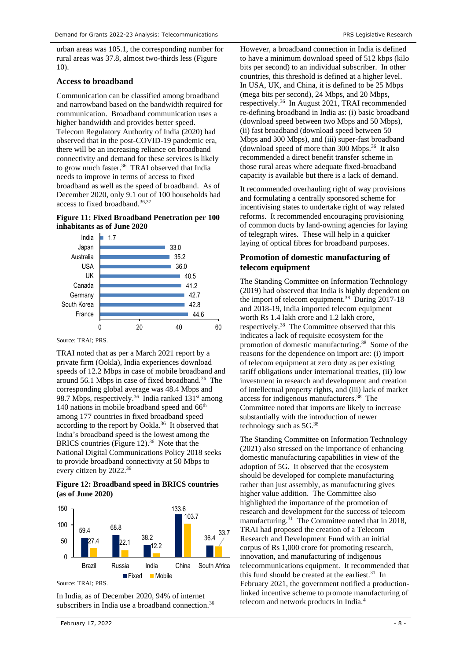urban areas was 105.1, the corresponding number for rural areas was 37.8, almost two-thirds less (Figure 10).

# **Access to broadband**

Communication can be classified among broadband and narrowband based on the bandwidth required for communication. Broadband communication uses a higher bandwidth and provides better speed. Telecom Regulatory Authority of India (2020) had observed that in the post-COVID-19 pandemic era, there will be an increasing reliance on broadband connectivity and demand for these services is likely to grow much faster.<sup>36</sup> TRAI observed that India needs to improve in terms of access to fixed broadband as well as the speed of broadband. As of December 2020, only 9.1 out of 100 households had access to fixed broadband.<sup>[36,3](#page-7-0)7</sup>

# <span id="page-7-0"></span>**Figure 11: Fixed Broadband Penetration per 100 inhabitants as of June 2020**



Source: TRAI; PRS.

TRAI noted that as per a March 2021 report by a private firm (Ookla), India experiences download speeds of 12.2 Mbps in case of mobile broadband and around 56.1 Mbps in case of fixed broadband.<sup>[36](#page-7-0)</sup> The corresponding global average was 48.4 Mbps and 98.7 Mbps, respectively.<sup>[36](#page-7-0)</sup> India ranked  $131<sup>st</sup>$  among 140 nations in mobile broadband speed and 66<sup>th</sup> among 177 countries in fixed broadband speed according to the report by Ookla. [36](#page-7-0) It observed that India's broadband speed is the lowest among the BRICS countries (Figure 12).<sup>[36](#page-7-0)</sup> Note that the National Digital Communications Policy 2018 seeks to provide broadband connectivity at 50 Mbps to every citizen by 2022. [36](#page-7-0)

# **Figure 12: Broadband speed in BRICS countries (as of June 2020)**



Source: TRAI; PRS.

In India, as of December 2020, 94% of internet subscribers in India use a broadband connection.<sup>[36](#page-7-0)</sup> However, a broadband connection in India is defined to have a minimum download speed of 512 kbps (kilo bits per second) to an individual subscriber. In other countries, this threshold is defined at a higher level. In USA, UK, and China, it is defined to be 25 Mbps (mega bits per second), 24 Mbps, and 20 Mbps, respectively.[36](#page-7-0) In August 2021, TRAI recommended re-defining broadband in India as: (i) basic broadband (download speed between two Mbps and 50 Mbps), (ii) fast broadband (download speed between 50 Mbps and 300 Mbps), and (iii) super-fast broadband (download speed of more than 300 Mbps. [36](#page-7-0) It also recommended a direct benefit transfer scheme in those rural areas where adequate fixed-broadband capacity is available but there is a lack of demand.

It recommended overhauling right of way provisions and formulating a centrally sponsored scheme for incentivising states to undertake right of way related reforms. It recommended encouraging provisioning of common ducts by land-owning agencies for laying of telegraph wires. These will help in a quicker laying of optical fibres for broadband purposes.

# **Promotion of domestic manufacturing of telecom equipment**

<span id="page-7-1"></span>The Standing Committee on Information Technology (2019) had observed that India is highly dependent on the import of telecom equipment. 38 During 2017-18 and 2018-19, India imported telecom equipment worth Rs 1.4 lakh crore and 1.2 lakh crore, respectively. [38](#page-7-1) The Committee observed that this indicates a lack of requisite ecosystem for the promotion of domestic manufacturing. [38](#page-7-1) Some of the reasons for the dependence on import are: (i) import of telecom equipment at zero duty as per existing tariff obligations under international treaties, (ii) low investment in research and development and creation of intellectual property rights, and (iii) lack of market access for indigenous manufacturers. [38](#page-7-1) The Committee noted that imports are likely to increase substantially with the introduction of newer technology such as 5G.[38](#page-7-1)

The Standing Committee on Information Technology (2021) also stressed on the importance of enhancing domestic manufacturing capabilities in view of the adoption of 5G. It observed that the ecosystem should be developed for complete manufacturing rather than just assembly, as manufacturing gives higher value addition. The Committee also highlighted the importance of the promotion of research and development for the success of telecom manufacturing.<sup>[31](#page-6-0)</sup> The Committee noted that in 2018, TRAI had proposed the creation of a Telecom Research and Development Fund with an initial corpus of Rs 1,000 crore for promoting research, innovation, and manufacturing of indigenous telecommunications equipment. It recommended that this fund should be created at the earliest. $31$  In February 2021, the government notified a productionlinked incentive scheme to promote manufacturing of telecom and network products in India.[4](#page-1-1)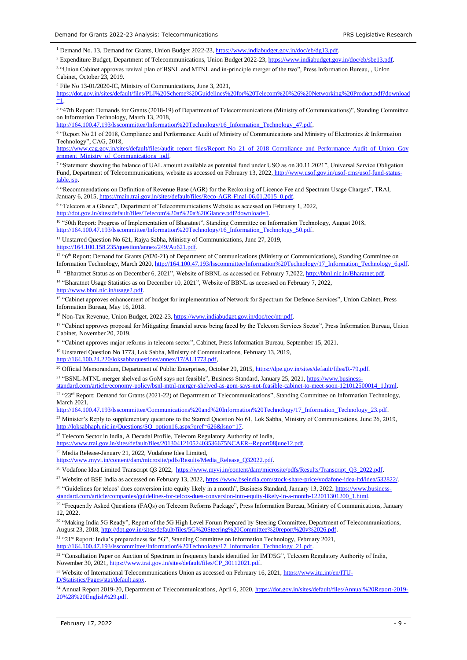<sup>1</sup> Demand No. 13, Demand for Grants, Union Budget 2022-23[, https://www.indiabudget.gov.in/doc/eb/dg13.pdf.](https://www.indiabudget.gov.in/doc/eb/dg13.pdf)

<sup>2</sup> Expenditure Budget, Department of Telecommunications, Union Budget 2022-23, [https://www.indiabudget.gov.in/doc/eb/sbe13.pdf.](https://www.indiabudget.gov.in/doc/eb/sbe13.pdf)

<sup>3</sup> "Union Cabinet approves revival plan of BSNL and MTNL and in-principle merger of the two", Press Information Bureau, , Union Cabinet, October 23, 2019.

<sup>4</sup> File No 13-01/2020-IC, Ministry of Communications, June 3, 2021,

[https://dot.gov.in/sites/default/files/PLI%20Scheme%20Guidelines%20for%20Telecom%20%26%20Networking%20Product.pdf?download](https://dot.gov.in/sites/default/files/PLI%20Scheme%20Guidelines%20for%20Telecom%20%26%20Networking%20Product.pdf?download=1)  $=1$ .

5 "47th Report: Demands for Grants (2018-19) of Department of Telecommunications (Ministry of Communications)", Standing Committee on Information Technology, March 13, 2018,

[http://164.100.47.193/lsscommittee/Information%20Technology/16\\_Information\\_Technology\\_47.pdf.](http://164.100.47.193/lsscommittee/Information%20Technology/16_Information_Technology_47.pdf)

6 "Report No 21 of 2018, Compliance and Performance Audit of Ministry of Communications and Ministry of Electronics & Information Technology", CAG, 2018,

[https://www.cag.gov.in/sites/default/files/audit\\_report\\_files/Report\\_No\\_21\\_of\\_2018\\_Compliance\\_and\\_Performance\\_Audit\\_of\\_Union\\_Gov](https://www.cag.gov.in/sites/default/files/audit_report_files/Report_No_21_of_2018_Compliance_and_Performance_Audit_of_Union_Government_Ministry_of_Communications_.pdf) [ernment\\_Ministry\\_of\\_Communications\\_.pdf.](https://www.cag.gov.in/sites/default/files/audit_report_files/Report_No_21_of_2018_Compliance_and_Performance_Audit_of_Union_Government_Ministry_of_Communications_.pdf)

7 "Statement showing the balance of UAL amount available as potential fund under USO as on 30.11.2021", Universal Service Obligation Fund, Department of Telecommunications, website as accessed on February 13, 2022, [http://www.usof.gov.in/usof-cms/usof-fund-status](http://www.usof.gov.in/usof-cms/usof-fund-status-table.jsp)[table.jsp.](http://www.usof.gov.in/usof-cms/usof-fund-status-table.jsp)

<sup>8</sup> "Recommendations on Definition of Revenue Base (AGR) for the Reckoning of Licence Fee and Spectrum Usage Charges", TRAI, January 6, 2015, [https://main.trai.gov.in/sites/default/files/Reco-AGR-Final-06.01.2015\\_0.pdf.](https://main.trai.gov.in/sites/default/files/Reco-AGR-Final-06.01.2015_0.pdf)

<sup>9</sup> "Telecom at a Glance", Department of Telecommunications Website as accessed on February 1, 2022, [http://dot.gov.in/sites/default/files/Telecom%20at%20a%20Glance.pdf?download=1.](http://dot.gov.in/sites/default/files/Telecom%20at%20a%20Glance.pdf?download=1)

<sup>10</sup> "50th Report: Progress of Implementation of Bharatnet", Standing Committee on Information Technology, August 2018, [http://164.100.47.193/lsscommittee/Information%20Technology/16\\_Information\\_Technology\\_50.pdf.](http://164.100.47.193/lsscommittee/Information%20Technology/16_Information_Technology_50.pdf)

<sup>11</sup> Unstarred Question No 621, Rajya Sabha, Ministry of Communications, June 27, 2019, https://164.100.158.235/question/annex/249/Au621.pdf

<sup>12</sup> "6<sup>th</sup> Report: Demand for Grants (2020-21) of Department of Communications (Ministry of Communications), Standing Committee on Information Technology, March 2020[, http://164.100.47.193/lsscommittee/Information%20Technology/17\\_Information\\_Technology\\_6.pdf.](http://164.100.47.193/lsscommittee/Information%20Technology/17_Information_Technology_6.pdf) 

<sup>13</sup> "Bharatnet Status as on December 6, 2021", Website of BBNL as accessed on February 7,2022, http://bbnl.nic.in/Bharatnet.pdf.

<sup>14</sup> "Bharatnet Usage Statistics as on December 10, 2021", Website of BBNL as accessed on February 7, 2022,

[http://www.bbnl.nic.in/usage2.pdf.](http://www.bbnl.nic.in/usage2.pdf)

<sup>15</sup> "Cabinet approves enhancement of budget for implementation of Network for Spectrum for Defence Services", Union Cabinet, Press Information Bureau, May 16, 2018.

<sup>16</sup> Non-Tax Revenue, Union Budget, 2022-23[, https://www.indiabudget.gov.in/doc/rec/ntr.pdf.](https://www.indiabudget.gov.in/doc/rec/ntr.pdf)

<sup>17</sup> "Cabinet approves proposal for Mitigating financial stress being faced by the Telecom Services Sector", Press Information Bureau, Union Cabinet, November 20, 2019.

<sup>18</sup> "Cabinet approves major reforms in telecom sector", Cabinet, Press Information Bureau, September 15, 2021.

<sup>19</sup> Unstarred Question No 1773, Lok Sabha, Ministry of Communications, February 13, 2019,

[http://164.100.24.220/loksabhaquestions/annex/17/AU1773.pdf,](http://164.100.24.220/loksabhaquestions/annex/17/AU1773.pdf)

<sup>20</sup> Official Memorandum, Department of Public Enterprises, October 29, 2015, [https://dpe.gov.in/sites/default/files/R-79.pdf.](https://dpe.gov.in/sites/default/files/R-79.pdf)

<sup>21</sup> "BSNL-MTNL merger shelved as GoM says not feasible", Business Standard, January 25, 2021[, https://www.business-](https://www.business-standard.com/article/economy-policy/bsnl-mtnl-merger-shelved-as-gom-says-not-feasible-cabinet-to-meet-soon-121012500014_1.html)

[standard.com/article/economy-policy/bsnl-mtnl-merger-shelved-as-gom-says-not-feasible-cabinet-to-meet-soon-121012500014\\_1.html.](https://www.business-standard.com/article/economy-policy/bsnl-mtnl-merger-shelved-as-gom-says-not-feasible-cabinet-to-meet-soon-121012500014_1.html) 

<sup>22</sup> "23<sup>rd</sup> Report: Demand for Grants (2021-22) of Department of Telecommunications", Standing Committee on Information Technology, March 2021,

http://164.100.47.193/lsscommittee/Communications%20and%20Information%20Technology/17\_Information\_Technology\_23.pdf.

<sup>23</sup> Minister's Reply to supplementary questions to the Starred Question No 61, Lok Sabha, Ministry of Communications, June 26, 2019, [http://loksabhaph.nic.in/Questions/SQ\\_option16.aspx?qref=626&lsno=17.](http://loksabhaph.nic.in/Questions/SQ_option16.aspx?qref=626&lsno=17)

<sup>24</sup> Telecom Sector in India, A Decadal Profile, Telecom Regulatory Authority of India,

[https://www.trai.gov.in/sites/default/files/201304121052403536675NCAER--Report08june12.pdf.](https://www.trai.gov.in/sites/default/files/201304121052403536675NCAER--Report08june12.pdf)

<sup>25</sup> Media Release-January 21, 2022, Vodafone Idea Limited,

[https://www.myvi.in/content/dam/microsite/pdfs/Results/Media\\_Release\\_Q32022.pdf.](https://www.myvi.in/content/dam/microsite/pdfs/Results/Media_Release_Q32022.pdf) 

<sup>26</sup> Vodafone Idea Limited Transcript Q3 2022, https://www.myvi.in/content/dam/microsite/pdfs/Results/Transcript\_Q3\_2022.pdf.

<sup>27</sup> Website of BSE India as accessed on February 13, 2022[, https://www.bseindia.com/stock-share-price/vodafone-idea-ltd/idea/532822/.](https://www.bseindia.com/stock-share-price/vodafone-idea-ltd/idea/532822/)

<sup>28</sup> "Guidelines for telcos' dues conversion into equity likely in a month", Business Standard, January 13, 2022, [https://www.business](https://www.business-standard.com/article/companies/guidelines-for-telcos-dues-conversion-into-equity-likely-in-a-month-122011301200_1.html)[standard.com/article/companies/guidelines-for-telcos-dues-conversion-into-equity-likely-in-a-month-122011301200\\_1.html.](https://www.business-standard.com/article/companies/guidelines-for-telcos-dues-conversion-into-equity-likely-in-a-month-122011301200_1.html)

<sup>29</sup> "Frequently Asked Questions (FAQs) on Telecom Reforms Package", Press Information Bureau, Ministry of Communications, January  $12, 2022$ 

<sup>30</sup> "Making India 5G Ready", Report of the 5G High Level Forum Prepared by Steering Committee, Department of Telecommunications, August 23, 2018[, http://dot.gov.in/sites/default/files/5G%20Steering%20Committee%20report%20v%2026.pdf.](http://dot.gov.in/sites/default/files/5G%20Steering%20Committee%20report%20v%2026.pdf)

 $31$  "21st Report: India's preparedness for 5G", Standing Committee on Information Technology, February 2021, http://164.100.47.193/Isscommittee/Information%20Technology/17 Information Technology 21 ndf ommittee/Information%20Technology/17\_Information\_Technology\_21.pdf.

<sup>32</sup> "Consultation Paper on Auction of Spectrum in frequency bands identified for IMT/5G", Telecom Regulatory Authority of India, November 30, 2021, [https://www.trai.gov.in/sites/default/files/CP\\_30112021.pdf.](https://www.trai.gov.in/sites/default/files/CP_30112021.pdf) 

<sup>33</sup> Website of International Telecommunications Union as accessed on February 16, 2021[, https://www.itu.int/en/ITU-](https://www.itu.int/en/ITU-D/Statistics/Pages/stat/default.aspx)D/Statistics/Pages/stat/default.asp

<sup>34</sup> Annual Report 2019-20, Department of Telecommunications, April 6, 2020[, https://dot.gov.in/sites/default/files/Annual%20Report-2019-](https://dot.gov.in/sites/default/files/Annual%20Report-2019-20%28%20English%29.pdf) [20%28%20English%29.pdf.](https://dot.gov.in/sites/default/files/Annual%20Report-2019-20%28%20English%29.pdf)